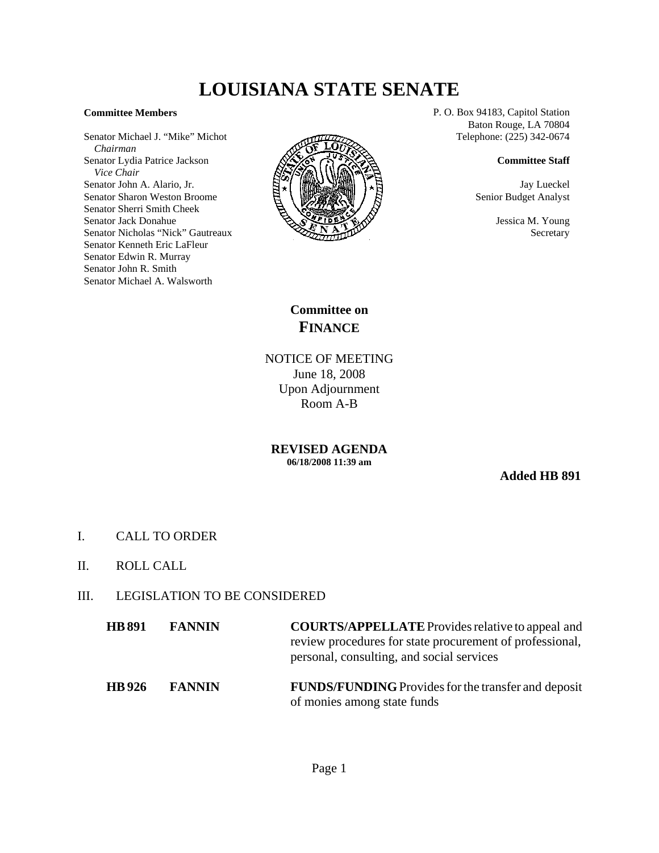## **LOUISIANA STATE SENATE**

## **Committee Members**

Senator Michael J. "Mike" Michot  *Chairman* Senator Lydia Patrice Jackson  *Vice Chair* Senator John A. Alario, Jr. Senator Sharon Weston Broome Senator Sherri Smith Cheek Senator Jack Donahue Senator Nicholas "Nick" Gautreaux Senator Kenneth Eric LaFleur Senator Edwin R. Murray Senator John R. Smith Senator Michael A. Walsworth



P. O. Box 94183, Capitol Station Baton Rouge, LA 70804 Telephone: (225) 342-0674

## **Committee Staff**

Jay Lueckel Senior Budget Analyst

> Jessica M. Young Secretary

**Committee on FINANCE**

NOTICE OF MEETING June 18, 2008 Upon Adjournment Room A-B

**REVISED AGENDA 06/18/2008 11:39 am**

**Added HB 891**

- I. CALL TO ORDER
- II. ROLL CALL
- III. LEGISLATION TO BE CONSIDERED

| <b>HB</b> 891 | <b>FANNIN</b> | <b>COURTS/APPELLATE</b> Provides relative to appeal and<br>review procedures for state procurement of professional,<br>personal, consulting, and social services |
|---------------|---------------|------------------------------------------------------------------------------------------------------------------------------------------------------------------|
| <b>HB</b> 926 | <b>FANNIN</b> | <b>FUNDS/FUNDING</b> Provides for the transfer and deposit                                                                                                       |

of monies among state funds